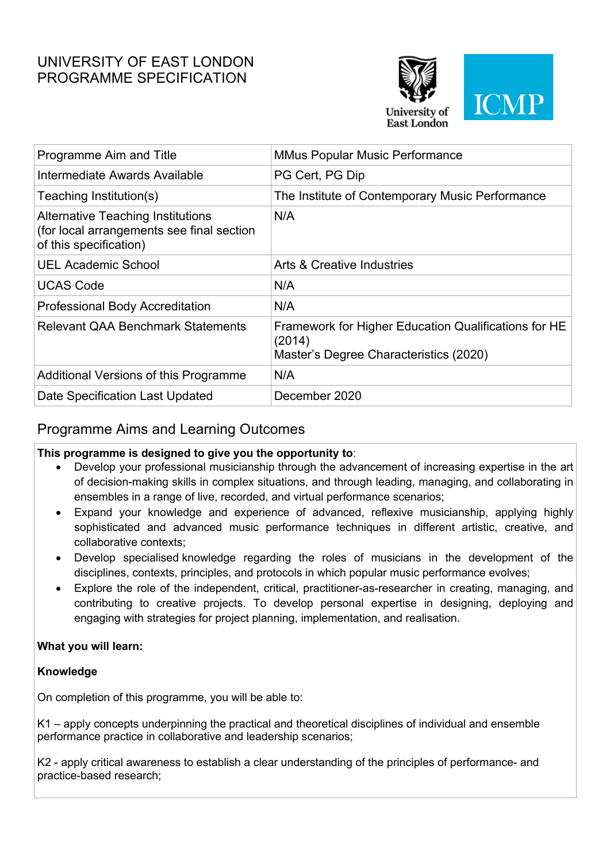# UNIVERSITY OF EAST LONDON PROGRAMME SPECIFICATION



| Programme Aim and Title                                                                                         | <b>MMus Popular Music Performance</b>                                                                    |
|-----------------------------------------------------------------------------------------------------------------|----------------------------------------------------------------------------------------------------------|
| Intermediate Awards Available                                                                                   | PG Cert, PG Dip                                                                                          |
| Teaching Institution(s)                                                                                         | The Institute of Contemporary Music Performance                                                          |
| <b>Alternative Teaching Institutions</b><br>(for local arrangements see final section<br>of this specification) | N/A                                                                                                      |
| <b>UEL Academic School</b>                                                                                      | <b>Arts &amp; Creative Industries</b>                                                                    |
| <b>UCAS Code</b>                                                                                                | N/A                                                                                                      |
| <b>Professional Body Accreditation</b>                                                                          | N/A                                                                                                      |
| <b>Relevant QAA Benchmark Statements</b>                                                                        | Framework for Higher Education Qualifications for HE<br>(2014)<br>Master's Degree Characteristics (2020) |
| Additional Versions of this Programme                                                                           | N/A                                                                                                      |
| Date Specification Last Updated                                                                                 | December 2020                                                                                            |
|                                                                                                                 |                                                                                                          |

## Programme Aims and Learning Outcomes

### **This programme is designed to give you the opportunity to**:

- Develop your professional musicianship through the advancement of increasing expertise in the art of decision-making skills in complex situations, and through leading, managing, and collaborating in ensembles in a range of live, recorded, and virtual performance scenarios;
- Expand your knowledge and experience of advanced, reflexive musicianship, applying highly sophisticated and advanced music performance techniques in different artistic, creative, and collaborative contexts;
- Develop specialised knowledge regarding the roles of musicians in the development of the disciplines, contexts, principles, and protocols in which popular music performance evolves;
- Explore the role of the independent, critical, practitioner-as-researcher in creating, managing, and contributing to creative projects. To develop personal expertise in designing, deploying and engaging with strategies for project planning, implementation, and realisation.

### **What you will learn:**

### **Knowledge**

On completion of this programme, you will be able to:

K1 – apply concepts underpinning the practical and theoretical disciplines of individual and ensemble performance practice in collaborative and leadership scenarios;

K2 - apply critical awareness to establish a clear understanding of the principles of performance- and practice-based research;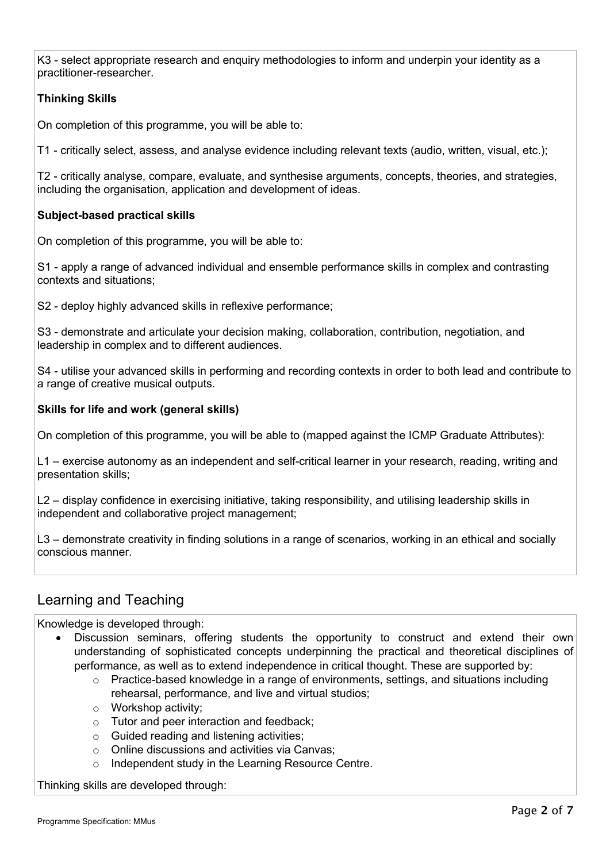K3 - select appropriate research and enquiry methodologies to inform and underpin your identity as a practitioner-researcher.

### **Thinking Skills**

On completion of this programme, you will be able to:

T1 - critically select, assess, and analyse evidence including relevant texts (audio, written, visual, etc.);

T2 - critically analyse, compare, evaluate, and synthesise arguments, concepts, theories, and strategies, including the organisation, application and development of ideas.

#### **Subject-based practical skills**

On completion of this programme, you will be able to:

S1 - apply a range of advanced individual and ensemble performance skills in complex and contrasting contexts and situations;

S2 - deploy highly advanced skills in reflexive performance;

S3 - demonstrate and articulate your decision making, collaboration, contribution, negotiation, and leadership in complex and to different audiences.

S4 - utilise your advanced skills in performing and recording contexts in order to both lead and contribute to a range of creative musical outputs.

#### **Skills for life and work (general skills)**

On completion of this programme, you will be able to (mapped against the ICMP Graduate Attributes):

L1 – exercise autonomy as an independent and self-critical learner in your research, reading, writing and presentation skills;

L2 – display confidence in exercising initiative, taking responsibility, and utilising leadership skills in independent and collaborative project management;

L3 – demonstrate creativity in finding solutions in a range of scenarios, working in an ethical and socially conscious manner.

## Learning and Teaching

Knowledge is developed through:

- Discussion seminars, offering students the opportunity to construct and extend their own understanding of sophisticated concepts underpinning the practical and theoretical disciplines of performance, as well as to extend independence in critical thought. These are supported by:
	- $\circ$  Practice-based knowledge in a range of environments, settings, and situations including rehearsal, performance, and live and virtual studios;
	- o Workshop activity;
	- o Tutor and peer interaction and feedback;
	- o Guided reading and listening activities;
	- o Online discussions and activities via Canvas;
	- o Independent study in the Learning Resource Centre.

Thinking skills are developed through: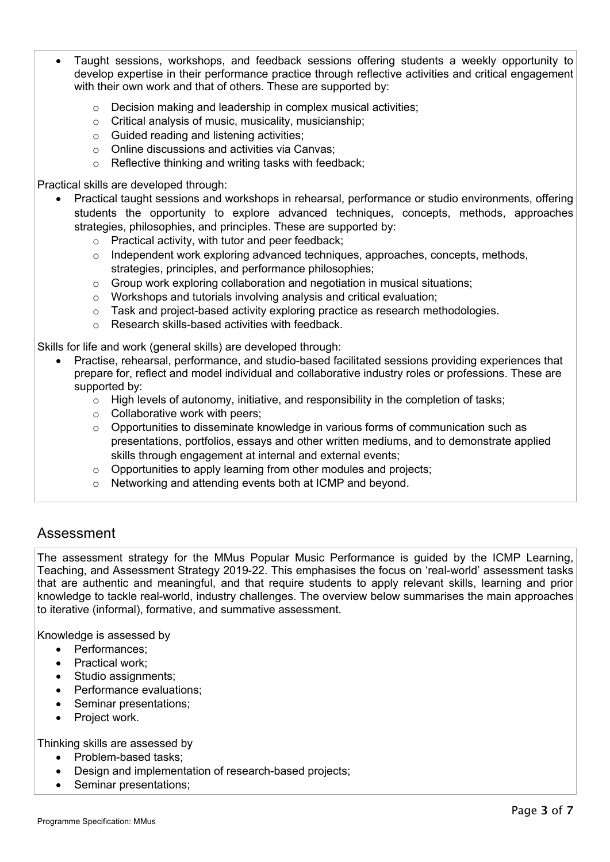- Taught sessions, workshops, and feedback sessions offering students a weekly opportunity to develop expertise in their performance practice through reflective activities and critical engagement with their own work and that of others. These are supported by:
	- o Decision making and leadership in complex musical activities;
	- o Critical analysis of music, musicality, musicianship;
	- o Guided reading and listening activities;
	- o Online discussions and activities via Canvas;
	- o Reflective thinking and writing tasks with feedback;

Practical skills are developed through:

- Practical taught sessions and workshops in rehearsal, performance or studio environments, offering students the opportunity to explore advanced techniques, concepts, methods, approaches strategies, philosophies, and principles. These are supported by:
	- o Practical activity, with tutor and peer feedback;
	- $\circ$  Independent work exploring advanced techniques, approaches, concepts, methods, strategies, principles, and performance philosophies;
	- $\circ$  Group work exploring collaboration and negotiation in musical situations;
	- o Workshops and tutorials involving analysis and critical evaluation;
	- o Task and project-based activity exploring practice as research methodologies.
	- o Research skills-based activities with feedback.

Skills for life and work (general skills) are developed through:

- Practise, rehearsal, performance, and studio-based facilitated sessions providing experiences that prepare for, reflect and model individual and collaborative industry roles or professions. These are supported by:
	- $\circ$  High levels of autonomy, initiative, and responsibility in the completion of tasks;
	- $\circ$  Collaborative work with peers:
	- $\circ$  Opportunities to disseminate knowledge in various forms of communication such as presentations, portfolios, essays and other written mediums, and to demonstrate applied skills through engagement at internal and external events;
	- o Opportunities to apply learning from other modules and projects;
	- o Networking and attending events both at ICMP and beyond.

## Assessment

The assessment strategy for the MMus Popular Music Performance is guided by the ICMP Learning, Teaching, and Assessment Strategy 2019-22. This emphasises the focus on 'real-world' assessment tasks that are authentic and meaningful, and that require students to apply relevant skills, learning and prior knowledge to tackle real-world, industry challenges. The overview below summarises the main approaches to iterative (informal), formative, and summative assessment.

Knowledge is assessed by

- Performances;
- Practical work;
- Studio assignments;
- Performance evaluations:
- Seminar presentations;
- Project work.

Thinking skills are assessed by

- Problem-based tasks;
- Design and implementation of research-based projects;
- Seminar presentations;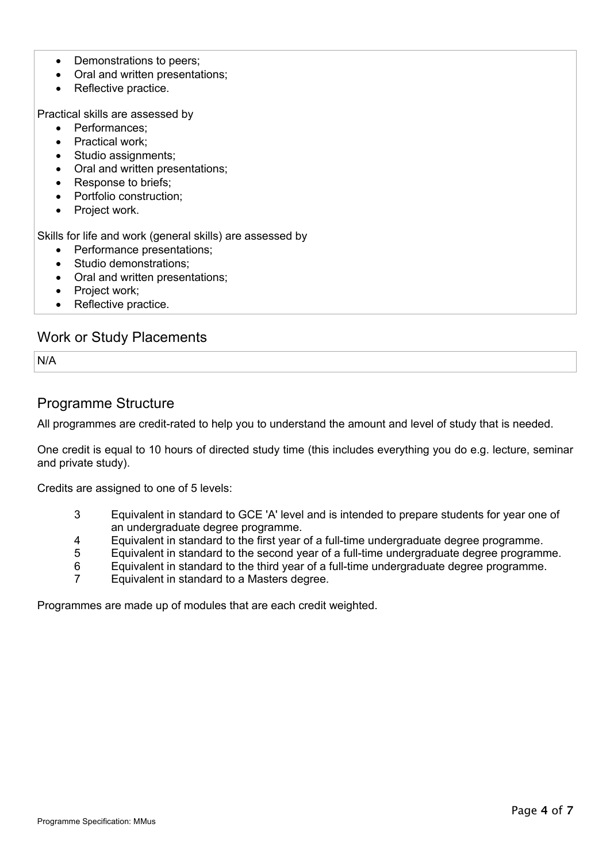- Demonstrations to peers;
- Oral and written presentations;
- Reflective practice.

Practical skills are assessed by

- Performances;
- Practical work:
- Studio assignments:
- Oral and written presentations;
- Response to briefs;
- Portfolio construction;
- Project work.

Skills for life and work (general skills) are assessed by

- Performance presentations:
- Studio demonstrations;
- Oral and written presentations;
- Project work;
- Reflective practice.

### Work or Study Placements

N/A

### Programme Structure

All programmes are credit-rated to help you to understand the amount and level of study that is needed.

One credit is equal to 10 hours of directed study time (this includes everything you do e.g. lecture, seminar and private study).

Credits are assigned to one of 5 levels:

- 3 Equivalent in standard to GCE 'A' level and is intended to prepare students for year one of an undergraduate degree programme.
- 4 Equivalent in standard to the first year of a full-time undergraduate degree programme.
- 5 Equivalent in standard to the second year of a full-time undergraduate degree programme.
- 6 Equivalent in standard to the third year of a full-time undergraduate degree programme.
- 7 Equivalent in standard to a Masters degree.

Programmes are made up of modules that are each credit weighted.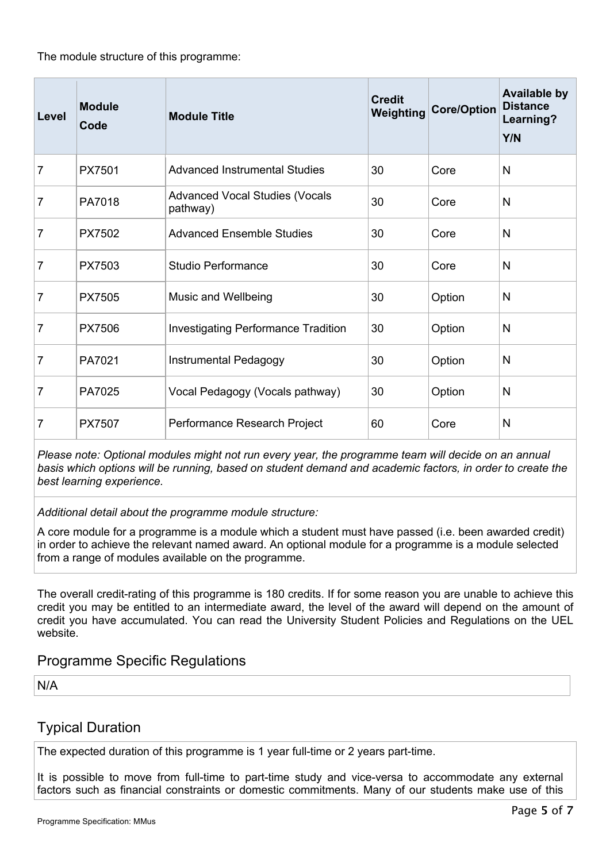The module structure of this programme:

| Level          | <b>Module</b><br>Code | <b>Module Title</b>                               | <b>Credit</b><br>Weighting | <b>Core/Option</b> | <b>Available by</b><br><b>Distance</b><br>Learning?<br>Y/N |
|----------------|-----------------------|---------------------------------------------------|----------------------------|--------------------|------------------------------------------------------------|
| $\overline{7}$ | PX7501                | <b>Advanced Instrumental Studies</b>              | 30                         | Core               | N                                                          |
| 7              | PA7018                | <b>Advanced Vocal Studies (Vocals</b><br>pathway) | 30                         | Core               | N                                                          |
| 7              | PX7502                | <b>Advanced Ensemble Studies</b>                  | 30                         | Core               | N                                                          |
| 7              | PX7503                | Studio Performance                                | 30                         | Core               | N                                                          |
| 7              | <b>PX7505</b>         | Music and Wellbeing                               | 30                         | Option             | N                                                          |
| 7              | <b>PX7506</b>         | <b>Investigating Performance Tradition</b>        | 30                         | Option             | N                                                          |
| 7              | PA7021                | Instrumental Pedagogy                             | 30                         | Option             | N                                                          |
| 7              | PA7025                | Vocal Pedagogy (Vocals pathway)                   | 30                         | Option             | N                                                          |
| 7              | <b>PX7507</b>         | Performance Research Project                      | 60                         | Core               | N                                                          |

*Please note: Optional modules might not run every year, the programme team will decide on an annual basis which options will be running, based on student demand and academic factors, in order to create the best learning experience.*

*Additional detail about the programme module structure:*

A core module for a programme is a module which a student must have passed (i.e. been awarded credit) in order to achieve the relevant named award. An optional module for a programme is a module selected from a range of modules available on the programme.

The overall credit-rating of this programme is 180 credits. If for some reason you are unable to achieve this credit you may be entitled to an intermediate award, the level of the award will depend on the amount of credit you have accumulated. You can read the University Student Policies and Regulations on the UEL website.

## Programme Specific Regulations

N/A

## Typical Duration

The expected duration of this programme is 1 year full-time or 2 years part-time.

It is possible to move from full-time to part-time study and vice-versa to accommodate any external factors such as financial constraints or domestic commitments. Many of our students make use of this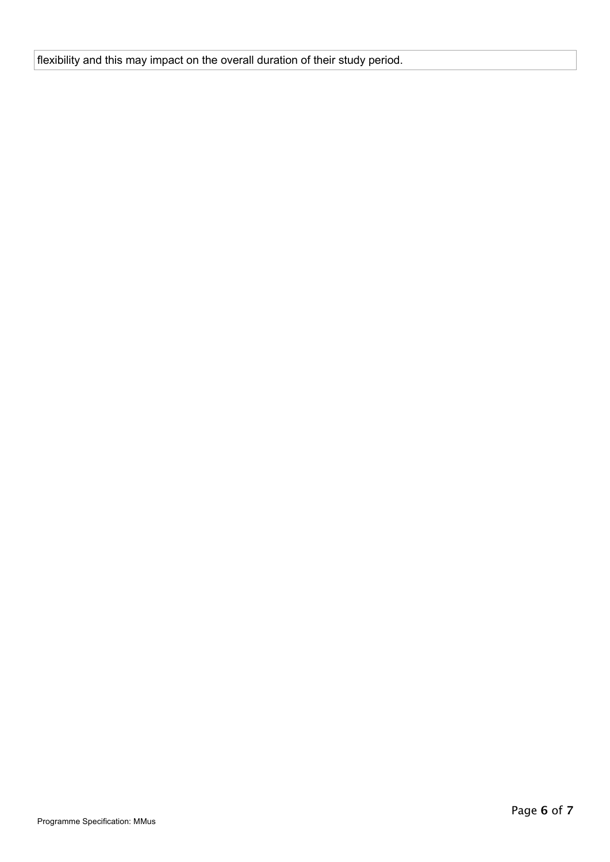flexibility and this may impact on the overall duration of their study period.